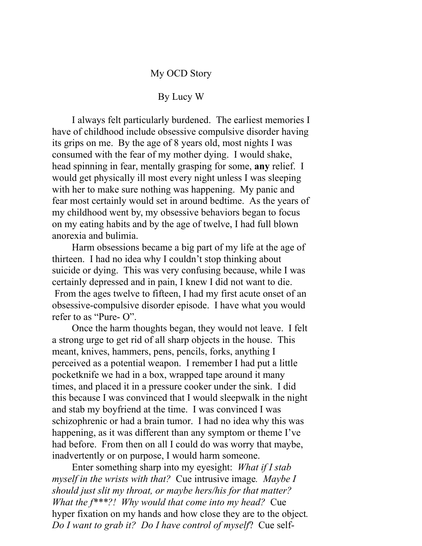## My OCD Story

## By Lucy W

I always felt particularly burdened. The earliest memories I have of childhood include obsessive compulsive disorder having its grips on me. By the age of 8 years old, most nights I was consumed with the fear of my mother dying. I would shake, head spinning in fear, mentally grasping for some, **any** relief. I would get physically ill most every night unless I was sleeping with her to make sure nothing was happening. My panic and fear most certainly would set in around bedtime. As the years of my childhood went by, my obsessive behaviors began to focus on my eating habits and by the age of twelve, I had full blown anorexia and bulimia.

Harm obsessions became a big part of my life at the age of thirteen. I had no idea why I couldn't stop thinking about suicide or dying. This was very confusing because, while I was certainly depressed and in pain, I knew I did not want to die. From the ages twelve to fifteen, I had my first acute onset of an obsessive-compulsive disorder episode. I have what you would refer to as "Pure- O".

Once the harm thoughts began, they would not leave. I felt a strong urge to get rid of all sharp objects in the house. This meant, knives, hammers, pens, pencils, forks, anything I perceived as a potential weapon. I remember I had put a little pocketknife we had in a box, wrapped tape around it many times, and placed it in a pressure cooker under the sink. I did this because I was convinced that I would sleepwalk in the night and stab my boyfriend at the time. I was convinced I was schizophrenic or had a brain tumor. I had no idea why this was happening, as it was different than any symptom or theme I've had before. From then on all I could do was worry that maybe, inadvertently or on purpose, I would harm someone.

Enter something sharp into my eyesight: *What if I stab myself in the wrists with that?* Cue intrusive image*. Maybe I should just slit my throat, or maybe hers/his for that matter? What the f\*\*\*?! Why would that come into my head?* Cue hyper fixation on my hands and how close they are to the object*. Do I want to grab it? Do I have control of myself*? Cue self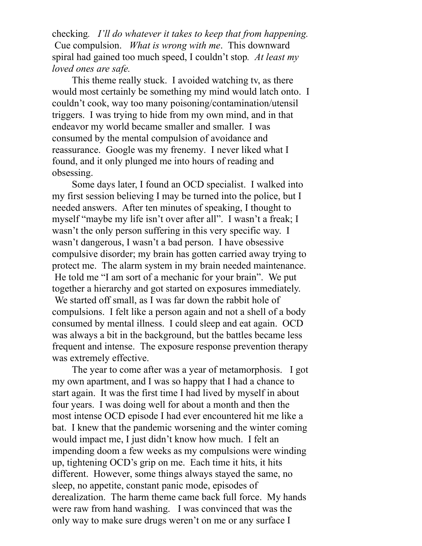checking*. I'll do whatever it takes to keep that from happening.* Cue compulsion. *What is wrong with me*. This downward spiral had gained too much speed, I couldn't stop*. At least my loved ones are safe.* 

This theme really stuck. I avoided watching tv, as there would most certainly be something my mind would latch onto. I couldn't cook, way too many poisoning/contamination/utensil triggers. I was trying to hide from my own mind, and in that endeavor my world became smaller and smaller. I was consumed by the mental compulsion of avoidance and reassurance. Google was my frenemy. I never liked what I found, and it only plunged me into hours of reading and obsessing.

Some days later, I found an OCD specialist. I walked into my first session believing I may be turned into the police, but I needed answers. After ten minutes of speaking, I thought to myself "maybe my life isn't over after all". I wasn't a freak; I wasn't the only person suffering in this very specific way. I wasn't dangerous, I wasn't a bad person. I have obsessive compulsive disorder; my brain has gotten carried away trying to protect me. The alarm system in my brain needed maintenance. He told me "I am sort of a mechanic for your brain". We put together a hierarchy and got started on exposures immediately. We started off small, as I was far down the rabbit hole of compulsions. I felt like a person again and not a shell of a body consumed by mental illness. I could sleep and eat again. OCD was always a bit in the background, but the battles became less frequent and intense. The exposure response prevention therapy was extremely effective.

The year to come after was a year of metamorphosis. I got my own apartment, and I was so happy that I had a chance to start again. It was the first time I had lived by myself in about four years. I was doing well for about a month and then the most intense OCD episode I had ever encountered hit me like a bat. I knew that the pandemic worsening and the winter coming would impact me, I just didn't know how much. I felt an impending doom a few weeks as my compulsions were winding up, tightening OCD's grip on me. Each time it hits, it hits different. However, some things always stayed the same, no sleep, no appetite, constant panic mode, episodes of derealization. The harm theme came back full force. My hands were raw from hand washing. I was convinced that was the only way to make sure drugs weren't on me or any surface I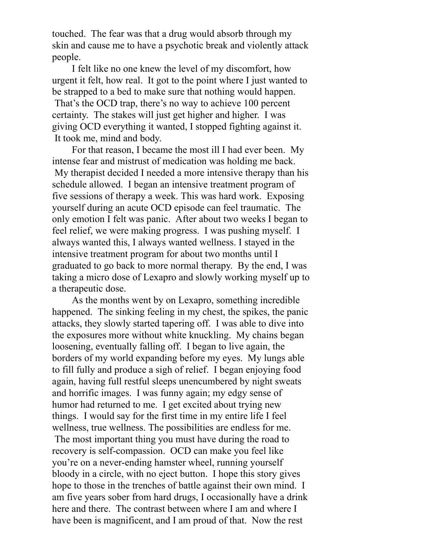touched. The fear was that a drug would absorb through my skin and cause me to have a psychotic break and violently attack people.

I felt like no one knew the level of my discomfort, how urgent it felt, how real. It got to the point where I just wanted to be strapped to a bed to make sure that nothing would happen. That's the OCD trap, there's no way to achieve 100 percent certainty. The stakes will just get higher and higher. I was giving OCD everything it wanted, I stopped fighting against it. It took me, mind and body.

For that reason, I became the most ill I had ever been. My intense fear and mistrust of medication was holding me back. My therapist decided I needed a more intensive therapy than his schedule allowed. I began an intensive treatment program of five sessions of therapy a week. This was hard work. Exposing yourself during an acute OCD episode can feel traumatic. The only emotion I felt was panic. After about two weeks I began to feel relief, we were making progress. I was pushing myself. I always wanted this, I always wanted wellness. I stayed in the intensive treatment program for about two months until I graduated to go back to more normal therapy. By the end, I was taking a micro dose of Lexapro and slowly working myself up to a therapeutic dose.

As the months went by on Lexapro, something incredible happened. The sinking feeling in my chest, the spikes, the panic attacks, they slowly started tapering off. I was able to dive into the exposures more without white knuckling. My chains began loosening, eventually falling off. I began to live again, the borders of my world expanding before my eyes. My lungs able to fill fully and produce a sigh of relief. I began enjoying food again, having full restful sleeps unencumbered by night sweats and horrific images. I was funny again; my edgy sense of humor had returned to me. I get excited about trying new things. I would say for the first time in my entire life I feel wellness, true wellness. The possibilities are endless for me.

 The most important thing you must have during the road to recovery is self-compassion. OCD can make you feel like you're on a never-ending hamster wheel, running yourself bloody in a circle, with no eject button. I hope this story gives hope to those in the trenches of battle against their own mind. I am five years sober from hard drugs, I occasionally have a drink here and there. The contrast between where I am and where I have been is magnificent, and I am proud of that. Now the rest